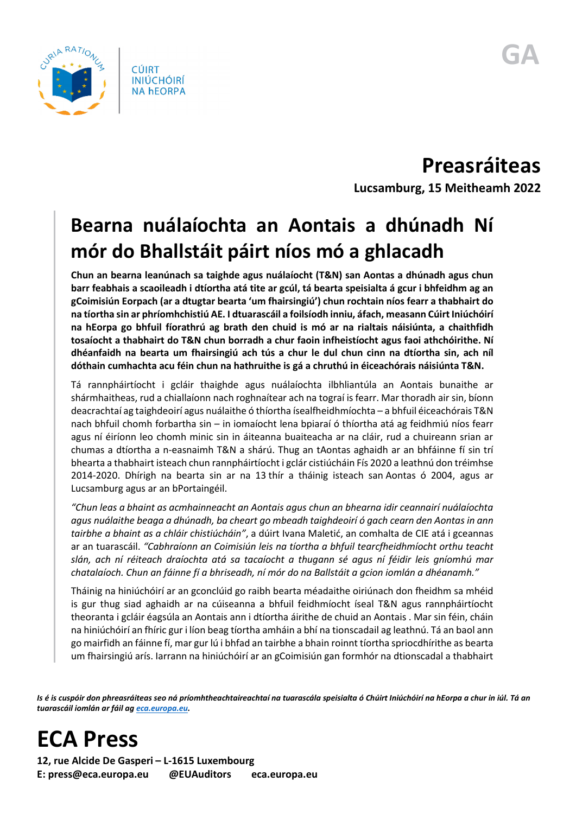

**Preasráiteas Lucsamburg, 15 Meitheamh 2022**

## **Bearna nuálaíochta an Aontais a dhúnadh Ní mór do Bhallstáit páirt níos mó a ghlacadh**

**Chun an bearna leanúnach sa taighde agus nuálaíocht (T&N) san Aontas a dhúnadh agus chun barr feabhais a scaoileadh i dtíortha atá tite ar gcúl, tá bearta speisialta á gcur i bhfeidhm ag an gCoimisiún Eorpach (ar a dtugtar bearta 'um fhairsingiú') chun rochtain níos fearr a thabhairt do na tíortha sin ar phríomhchistiú AE. I dtuarascáil a foilsíodh inniu, áfach, measann Cúirt Iniúchóirí na hEorpa go bhfuil fíorathrú ag brath den chuid is mó ar na rialtais náisiúnta, a chaithfidh tosaíocht a thabhairt do T&N chun borradh a chur faoin infheistíocht agus faoi athchóirithe. Ní dhéanfaidh na bearta um fhairsingiú ach tús a chur le dul chun cinn na dtíortha sin, ach níl dóthain cumhachta acu féin chun na hathruithe is gá a chruthú in éiceachórais náisiúnta T&N.** 

Tá rannpháirtíocht i gcláir thaighde agus nuálaíochta ilbhliantúla an Aontais bunaithe ar shármhaitheas, rud a chiallaíonn nach roghnaítear ach na tograí is fearr. Mar thoradh air sin, bíonn deacrachtaí ag taighdeoirí agus nuálaithe ó thíortha ísealfheidhmíochta – a bhfuil éiceachórais T&N nach bhfuil chomh forbartha sin – in iomaíocht lena bpiaraí ó thíortha atá ag feidhmiú níos fearr agus ní éiríonn leo chomh minic sin in áiteanna buaiteacha ar na cláir, rud a chuireann srian ar chumas a dtíortha a n-easnaimh T&N a shárú. Thug an tAontas aghaidh ar an bhfáinne fí sin trí bhearta a thabhairt isteach chun rannpháirtíocht i gclár cistiúcháin Fís 2020 a leathnú don tréimhse 2014-2020. Dhírigh na bearta sin ar na 13 thír a tháinig isteach san Aontas ó 2004, agus ar Lucsamburg agus ar an bPortaingéil.

*"Chun leas a bhaint as acmhainneacht an Aontais agus chun an bhearna idir ceannairí nuálaíochta agus nuálaithe beaga a dhúnadh, ba cheart go mbeadh taighdeoirí ó gach cearn den Aontas in ann tairbhe a bhaint as a chláir chistiúcháin"*, a dúirt Ivana Maletić, an comhalta de CIE atá i gceannas ar an tuarascáil. *"Cabhraíonn an Coimisiún leis na tíortha a bhfuil tearcfheidhmíocht orthu teacht slán, ach ní réiteach draíochta atá sa tacaíocht a thugann sé agus ní féidir leis gníomhú mar chatalaíoch. Chun an fáinne fí a bhriseadh, ní mór do na Ballstáit a gcion iomlán a dhéanamh."*

Tháinig na hiniúchóirí ar an gconclúid go raibh bearta méadaithe oiriúnach don fheidhm sa mhéid is gur thug siad aghaidh ar na cúiseanna a bhfuil feidhmíocht íseal T&N agus rannpháirtíocht theoranta i gcláir éagsúla an Aontais ann i dtíortha áirithe de chuid an Aontais . Mar sin féin, cháin na hiniúchóirí an fhíric gur i líon beag tíortha amháin a bhí na tionscadail ag leathnú. Tá an baol ann go mairfidh an fáinne fí, mar gur lú i bhfad an tairbhe a bhain roinnt tíortha spriocdhírithe as bearta um fhairsingiú arís. Iarrann na hiniúchóirí ar an gCoimisiún gan formhór na dtionscadal a thabhairt

*Is é is cuspóir don phreasráiteas seo ná príomhtheachtaireachtaí na tuarascála speisialta ó Chúirt Iniúchóirí na hEorpa a chur in iúl. Tá an tuarascáil iomlán ar fáil a[g eca.europa.eu.](https://www.eca.europa.eu/)* 

## **ECA Press**

**12, rue Alcide De Gasperi – L-1615 Luxembourg E: press@eca.europa.eu @EUAuditors eca.europa.eu**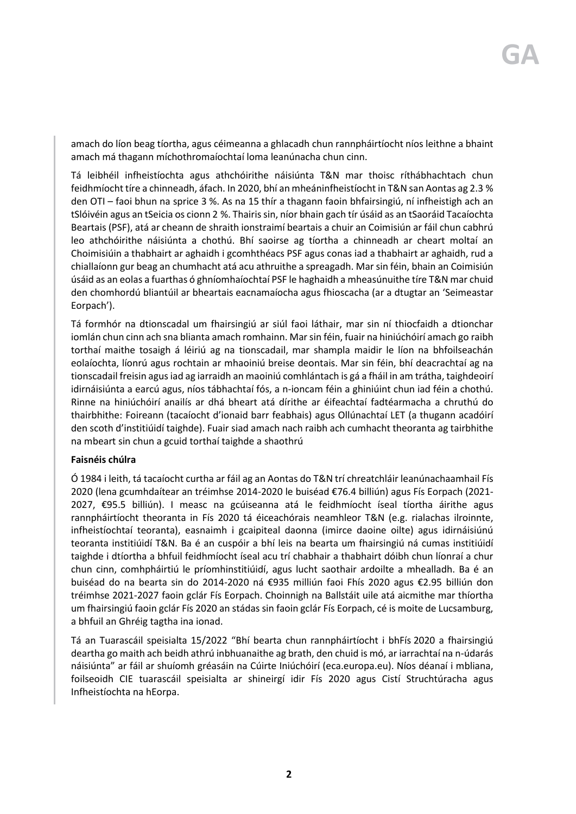amach do líon beag tíortha, agus céimeanna a ghlacadh chun rannpháirtíocht níos leithne a bhaint amach má thagann míchothromaíochtaí loma leanúnacha chun cinn.

Tá leibhéil infheistíochta agus athchóirithe náisiúnta T&N mar thoisc ríthábhachtach chun feidhmíocht tíre a chinneadh, áfach. In 2020, bhí an mheáninfheistíocht in T&N san Aontas ag 2.3 % den OTI – faoi bhun na sprice 3 %. As na 15 thír a thagann faoin bhfairsingiú, ní infheistigh ach an tSlóivéin agus an tSeicia os cionn 2 %. Thairis sin, níor bhain gach tír úsáid as an tSaoráid Tacaíochta Beartais (PSF), atá ar cheann de shraith ionstraimí beartais a chuir an Coimisiún ar fáil chun cabhrú leo athchóirithe náisiúnta a chothú. Bhí saoirse ag tíortha a chinneadh ar cheart moltaí an Choimisiúin a thabhairt ar aghaidh i gcomhthéacs PSF agus conas iad a thabhairt ar aghaidh, rud a chiallaíonn gur beag an chumhacht atá acu athruithe a spreagadh. Mar sin féin, bhain an Coimisiún úsáid as an eolas a fuarthas ó ghníomhaíochtaí PSF le haghaidh a mheasúnuithe tíre T&N mar chuid den chomhordú bliantúil ar bheartais eacnamaíocha agus fhioscacha (ar a dtugtar an 'Seimeastar Eorpach').

Tá formhór na dtionscadal um fhairsingiú ar siúl faoi láthair, mar sin ní thiocfaidh a dtionchar iomlán chun cinn ach sna blianta amach romhainn. Mar sin féin, fuair na hiniúchóirí amach go raibh torthaí maithe tosaigh á léiriú ag na tionscadail, mar shampla maidir le líon na bhfoilseachán eolaíochta, líonrú agus rochtain ar mhaoiniú breise deontais. Mar sin féin, bhí deacrachtaí ag na tionscadail freisin agus iad ag iarraidh an maoiniú comhlántach is gá a fháil in am trátha, taighdeoirí idirnáisiúnta a earcú agus, níos tábhachtaí fós, a n-ioncam féin a ghiniúint chun iad féin a chothú. Rinne na hiniúchóirí anailís ar dhá bheart atá dírithe ar éifeachtaí fadtéarmacha a chruthú do thairbhithe: Foireann (tacaíocht d'ionaid barr feabhais) agus Ollúnachtaí LET (a thugann acadóirí den scoth d'institiúidí taighde). Fuair siad amach nach raibh ach cumhacht theoranta ag tairbhithe na mbeart sin chun a gcuid torthaí taighde a shaothrú

## **Faisnéis chúlra**

Ó 1984 i leith, tá tacaíocht curtha ar fáil ag an Aontas do T&N trí chreatchláir leanúnachaamhail Fís 2020 (lena gcumhdaítear an tréimhse 2014-2020 le buiséad €76.4 billiún) agus Fís Eorpach (2021- 2027, €95.5 billiún). I measc na gcúiseanna atá le feidhmíocht íseal tíortha áirithe agus rannpháirtíocht theoranta in Fís 2020 tá éiceachórais neamhleor T&N (e.g. rialachas ilroinnte, infheistíochtaí teoranta), easnaimh i gcaipiteal daonna (imirce daoine oilte) agus idirnáisiúnú teoranta institiúidí T&N. Ba é an cuspóir a bhí leis na bearta um fhairsingiú ná cumas institiúidí taighde i dtíortha a bhfuil feidhmíocht íseal acu trí chabhair a thabhairt dóibh chun líonraí a chur chun cinn, comhpháirtiú le príomhinstitiúidí, agus lucht saothair ardoilte a mhealladh. Ba é an buiséad do na bearta sin do 2014-2020 ná €935 milliún faoi Fhís 2020 agus €2.95 billiún don tréimhse 2021-2027 faoin gclár Fís Eorpach. Choinnigh na Ballstáit uile atá aicmithe mar thíortha um fhairsingiú faoin gclár Fís 2020 an stádas sin faoin gclár Fís Eorpach, cé is moite de Lucsamburg, a bhfuil an Ghréig tagtha ina ionad.

Tá an Tuarascáil speisialta 15/2022 "Bhí bearta chun rannpháirtíocht i bhFís 2020 a fhairsingiú deartha go maith ach beidh athrú inbhuanaithe ag brath, den chuid is mó, ar iarrachtaí na n-údarás náisiúnta" ar fáil ar shuíomh gréasáin na Cúirte Iniúchóirí (eca.europa.eu). Níos déanaí i mbliana, foilseoidh CIE tuarascáil speisialta ar shineirgí idir Fís 2020 agus Cistí Struchtúracha agus Infheistíochta na hEorpa.